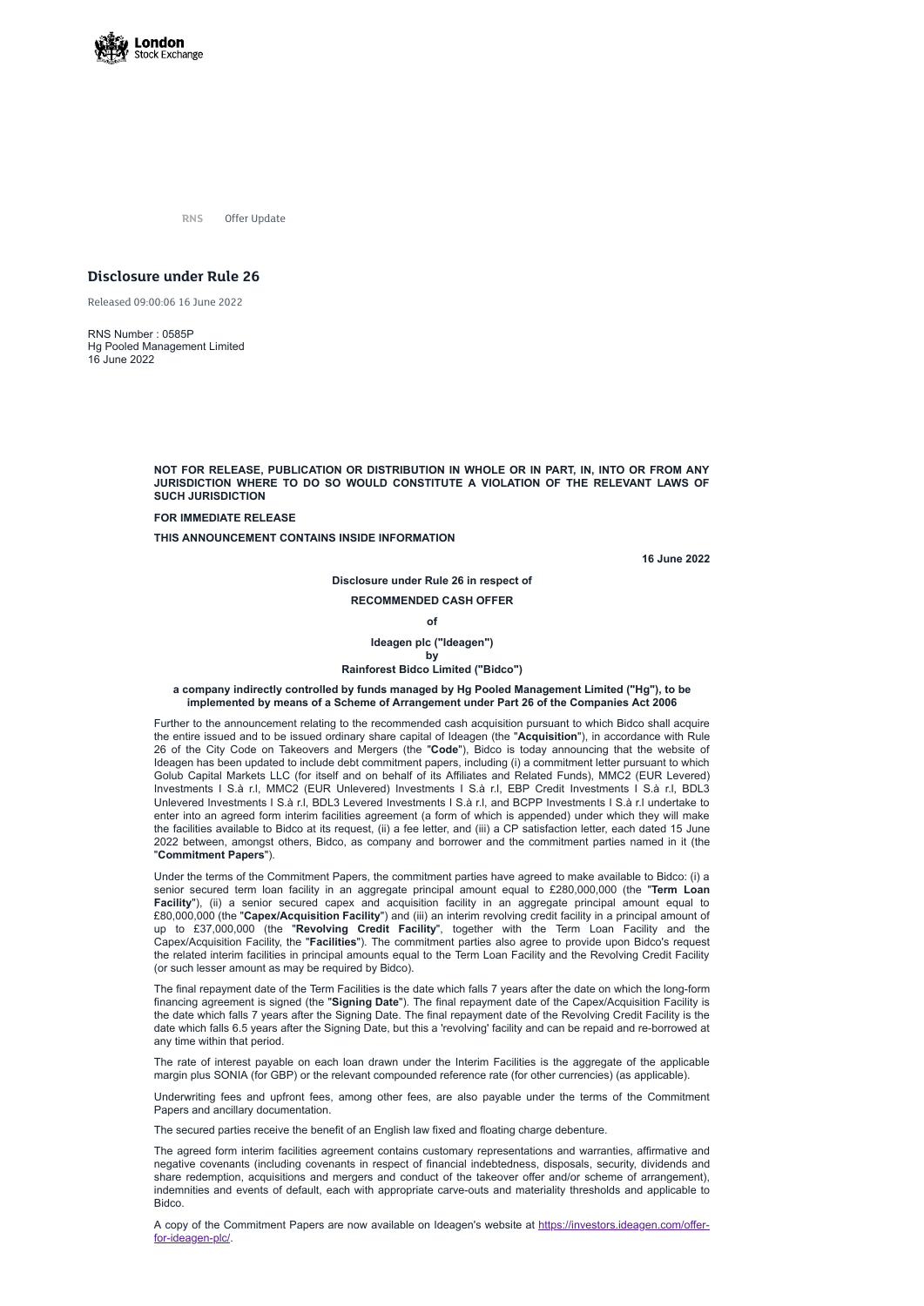

**RNS** Offer Update

# **Disclosure under Rule 26**

Released 09:00:06 16 June 2022

RNS Number : 0585P Hg Pooled Management Limited 16 June 2022

> **NOT FOR RELEASE, PUBLICATION OR DISTRIBUTION IN WHOLE OR IN PART, IN, INTO OR FROM ANY JURISDICTION WHERE TO DO SO WOULD CONSTITUTE A VIOLATION OF THE RELEVANT LAWS OF SUCH JURISDICTION**

**FOR IMMEDIATE RELEASE**

**THIS ANNOUNCEMENT CONTAINS INSIDE INFORMATION**

**16 June 2022**

**Disclosure under Rule 26 in respect of**

# **RECOMMENDED CASH OFFER**

**of**

**Ideagen plc ("Ideagen") by**

# **Rainforest Bidco Limited ("Bidco")**

## **a company indirectly controlled by funds managed by Hg Pooled Management Limited ("Hg"), to be implemented by means of a Scheme of Arrangement under Part 26 of the Companies Act 2006**

Further to the announcement relating to the recommended cash acquisition pursuant to which Bidco shall acquire the entire issued and to be issued ordinary share capital of Ideagen (the "**Acquisition**"), in accordance with Rule 26 of the City Code on Takeovers and Mergers (the "**Code**"), Bidco is today announcing that the website of Ideagen has been updated to include debt commitment papers, including (i) a commitment letter pursuant to which Golub Capital Markets LLC (for itself and on behalf of its Affiliates and Related Funds), MMC2 (EUR Levered) Investments I S.à r.l, MMC2 (EUR Unlevered) Investments I S.à r.l, EBP Credit Investments I S.à r.l, BDL3 Unlevered Investments I S.à r.l, BDL3 Levered Investments I S.à r.l, and BCPP Investments I S.à r.l undertake to enter into an agreed form interim facilities agreement (a form of which is appended) under which they will make the facilities available to Bidco at its request, (ii) a fee letter, and (iii) a CP satisfaction letter, each dated 15 June 2022 between, amongst others, Bidco, as company and borrower and the commitment parties named in it (the "**Commitment Papers**").

A copy of the Commitment Papers are now available on Ideagen's website at [https://investors.ideagen.com/offer](https://investors.ideagen.com/offer-for-ideagen-plc/)for-ideagen-plc/.

Under the terms of the Commitment Papers, the commitment parties have agreed to make available to Bidco: (i) a senior secured term loan facility in an aggregate principal amount equal to £280,000,000 (the "**Term Loan Facility**"), (ii) a senior secured capex and acquisition facility in an aggregate principal amount equal to £80,000,000 (the "**Capex/Acquisition Facility**") and (iii) an interim revolving credit facility in a principal amount of up to £37,000,000 (the "**Revolving Credit Facility**", together with the Term Loan Facility and the Capex/Acquisition Facility, the "**Facilities**"). The commitment parties also agree to provide upon Bidco's request the related interim facilities in principal amounts equal to the Term Loan Facility and the Revolving Credit Facility (or such lesser amount as may be required by Bidco).

The final repayment date of the Term Facilities is the date which falls 7 years after the date on which the long-form financing agreement is signed (the "**Signing Date**"). The final repayment date of the Capex/Acquisition Facility is the date which falls 7 years after the Signing Date. The final repayment date of the Revolving Credit Facility is the date which falls 6.5 years after the Signing Date, but this a 'revolving' facility and can be repaid and re-borrowed at any time within that period.

The rate of interest payable on each loan drawn under the Interim Facilities is the aggregate of the applicable margin plus SONIA (for GBP) or the relevant compounded reference rate (for other currencies) (as applicable).

Underwriting fees and upfront fees, among other fees, are also payable under the terms of the Commitment Papers and ancillary documentation.

The secured parties receive the benefit of an English law fixed and floating charge debenture.

The agreed form interim facilities agreement contains customary representations and warranties, affirmative and negative covenants (including covenants in respect of financial indebtedness, disposals, security, dividends and share redemption, acquisitions and mergers and conduct of the takeover offer and/or scheme of arrangement), indemnities and events of default, each with appropriate carve-outs and materiality thresholds and applicable to Bidco.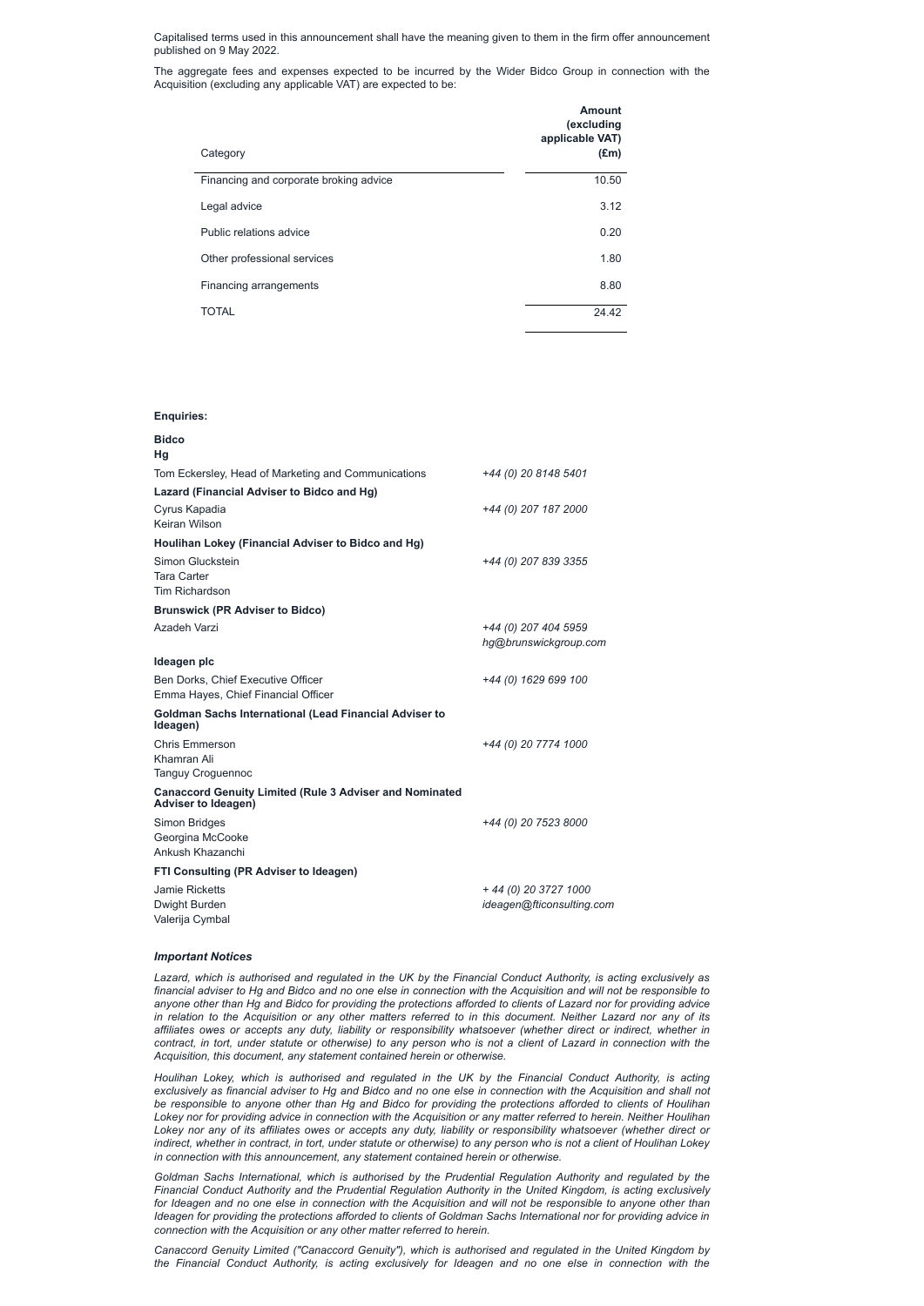Capitalised terms used in this announcement shall have the meaning given to them in the firm offer announcement published on 9 May 2022.

The aggregate fees and expenses expected to be incurred by the Wider Bidco Group in connection with the Acquisition (excluding any applicable VAT) are expected to be:

| Category                               | <b>Amount</b><br>(excluding<br>applicable VAT)<br>$(\text{Em})$ |
|----------------------------------------|-----------------------------------------------------------------|
| Financing and corporate broking advice | 10.50                                                           |
| Legal advice                           | 3.12                                                            |
| Public relations advice                | 0.20                                                            |
| Other professional services            | 1.80                                                            |
| Financing arrangements                 | 8.80                                                            |
| <b>TOTAL</b>                           | 24.42                                                           |

## **Enquiries:**

| <b>Bidco</b><br>Hg                                                                           |                           |
|----------------------------------------------------------------------------------------------|---------------------------|
|                                                                                              |                           |
| Tom Eckersley, Head of Marketing and Communications                                          | +44 (0) 20 8148 5401      |
| Lazard (Financial Adviser to Bidco and Hg)                                                   |                           |
| Cyrus Kapadia                                                                                | +44 (0) 207 187 2000      |
| Keiran Wilson                                                                                |                           |
| Houlihan Lokey (Financial Adviser to Bidco and Hg)                                           |                           |
| Simon Gluckstein                                                                             | +44 (0) 207 839 3355      |
| <b>Tara Carter</b>                                                                           |                           |
| <b>Tim Richardson</b>                                                                        |                           |
| <b>Brunswick (PR Adviser to Bidco)</b>                                                       |                           |
| Azadeh Varzi                                                                                 | +44 (0) 207 404 5959      |
|                                                                                              | hg@brunswickgroup.com     |
| Ideagen plc                                                                                  |                           |
| Ben Dorks, Chief Executive Officer                                                           | +44 (0) 1629 699 100      |
| Emma Hayes, Chief Financial Officer                                                          |                           |
| <b>Goldman Sachs International (Lead Financial Adviser to</b><br>Ideagen)                    |                           |
| <b>Chris Emmerson</b>                                                                        | +44 (0) 20 7774 1000      |
| Khamran Ali                                                                                  |                           |
| <b>Tanguy Croguennoc</b>                                                                     |                           |
| <b>Canaccord Genuity Limited (Rule 3 Adviser and Nominated</b><br><b>Adviser to Ideagen)</b> |                           |
| <b>Simon Bridges</b>                                                                         | +44 (0) 20 7523 8000      |
| Georgina McCooke                                                                             |                           |
| Ankush Khazanchi                                                                             |                           |
| <b>FTI Consulting (PR Adviser to Ideagen)</b>                                                |                           |
| Jamie Ricketts                                                                               | + 44 (0) 20 3727 1000     |
| Dwight Burden                                                                                | ideagen@fticonsulting.com |
| Valerija Cymbal                                                                              |                           |

financial adviser to Hg and Bidco and no one else in connection with the Acquisition and will not be responsible to anyone other than Hg and Bidco for providing the protections afforded to clients of Lazard nor for providing advice in relation to the Acquisition or any other matters referred to in this document. Neither Lazard nor any of its affiliates owes or accepts any duty, liability or responsibility whatsoever (whether direct or indirect, whether in contract, in tort, under statute or otherwise) to any person who is not a client of Lazard in connection with the *Acquisition, this document, any statement contained herein or otherwise.*

# *Important Notices*

Lazard, which is authorised and regulated in the UK by the Financial Conduct Authority, is acting exclusively as

*Houlihan Lokey, which is authorised and regulated in the UK by the Financial Conduct Authority, is acting* exclusively as financial adviser to Hg and Bidco and no one else in connection with the Acquisition and shall not be responsible to anyone other than Hg and Bidco for providing the protections afforded to clients of Houlihan Lokey nor for providing advice in connection with the Acquisition or any matter referred to herein. Neither Houlihan Lokey nor any of its affiliates owes or accepts any duty, liability or responsibility whatsoever (whether direct or indirect, whether in contract, in tort, under statute or otherwise) to any person who is not a client of Houlihan Lokey *in connection with this announcement, any statement contained herein or otherwise.*

*Goldman Sachs International, which is authorised by the Prudential Regulation Authority and regulated by the Financial Conduct Authority and the Prudential Regulation Authority in the United Kingdom, is acting exclusively* for Ideagen and no one else in connection with the Acquisition and will not be responsible to anyone other than Ideagen for providing the protections afforded to clients of Goldman Sachs International nor for providing advice in *connection with the Acquisition or any other matter referred to herein.*

*Canaccord Genuity Limited ("Canaccord Genuity"), which is authorised and regulated in the United Kingdom by the Financial Conduct Authority, is acting exclusively for Ideagen and no one else in connection with the*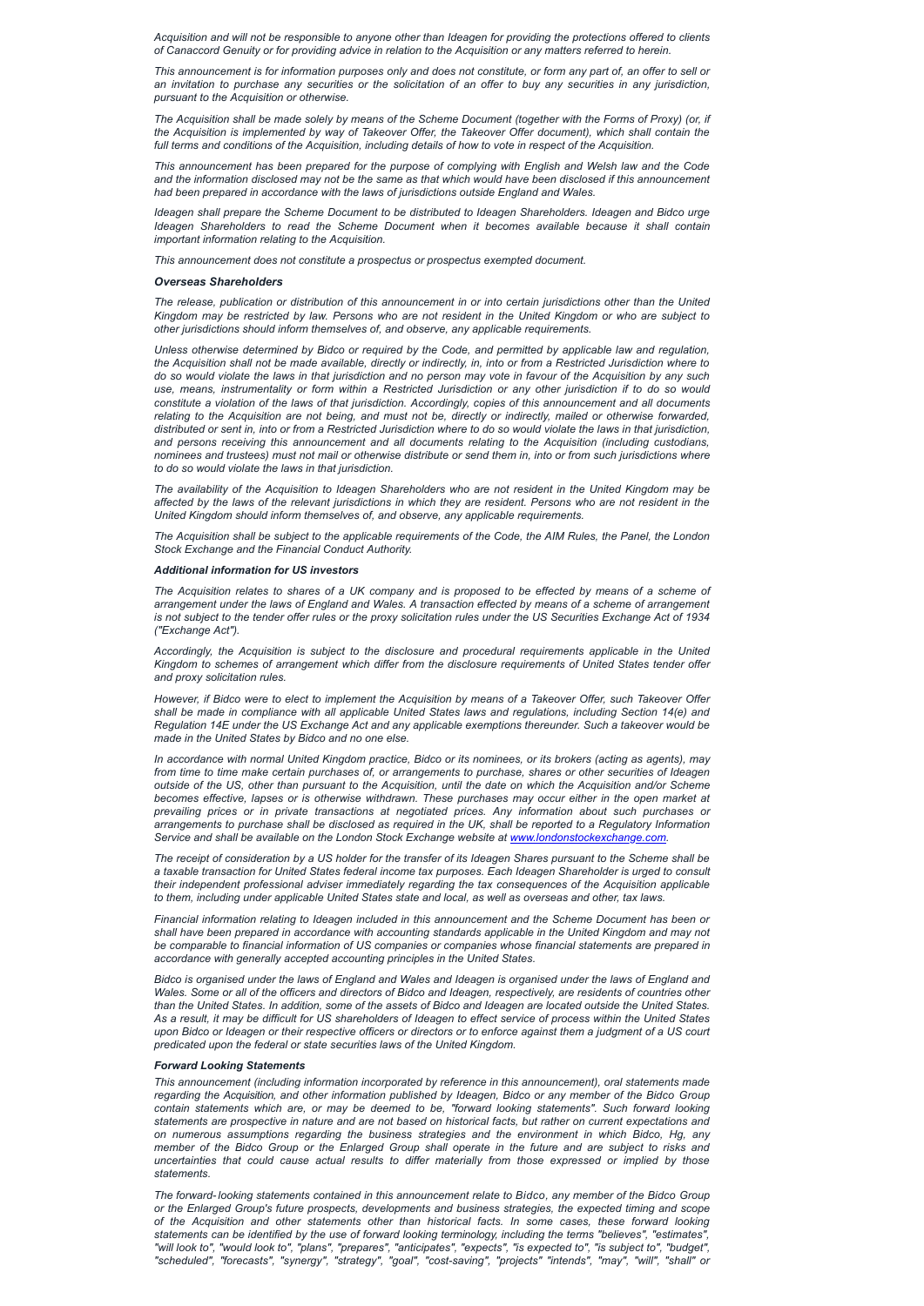Acquisition and will not be responsible to anyone other than Ideagen for providing the protections offered to clients of Canaccord Genuity or for providing advice in relation to the Acquisition or any matters referred to herein.

This announcement is for information purposes only and does not constitute, or form any part of, an offer to sell or an invitation to purchase any securities or the solicitation of an offer to buy any securities in any jurisdiction, *pursuant to the Acquisition or otherwise.*

The Acquisition shall be made solely by means of the Scheme Document (together with the Forms of Proxy) (or, if the Acquisition is implemented by way of Takeover Offer, the Takeover Offer document), which shall contain the full terms and conditions of the Acquisition, including details of how to vote in respect of the Acquisition.

This announcement has been prepared for the purpose of complying with English and Welsh law and the Code and the information disclosed may not be the same as that which would have been disclosed if this announcement *had been prepared in accordance with the laws of jurisdictions outside England and Wales.*

The release, publication or distribution of this announcement in or into certain jurisdictions other than the United Kingdom may be restricted by law. Persons who are not resident in the United Kingdom or who are subject to *other jurisdictions should inform themselves of, and observe, any applicable requirements.*

*Ideagen shall prepare the Scheme Document to be distributed to Ideagen Shareholders. Ideagen and Bidco urge Ideagen Shareholders to read the Scheme Document when it becomes available because it shall contain important information relating to the Acquisition.*

*This announcement does not constitute a prospectus or prospectus exempted document.*

Unless otherwise determined by Bidco or required by the Code, and permitted by applicable law and regulation, the Acquisition shall not be made available, directly or indirectly, in, into or from a Restricted Jurisdiction where to do so would violate the laws in that jurisdiction and no person may vote in favour of the Acquisition by any such use, means, instrumentality or form within a Restricted Jurisdiction or any other jurisdiction if to do so would constitute a violation of the laws of that jurisdiction. Accordingly, copies of this announcement and all documents relating to the Acquisition are not being, and must not be, directly or indirectly, mailed or otherwise forwarded, distributed or sent in, into or from a Restricted Jurisdiction where to do so would violate the laws in that jurisdiction, *and persons receiving this announcement and all documents relating to the Acquisition (including custodians,* nominees and trustees) must not mail or otherwise distribute or send them in, into or from such jurisdictions where *to do so would violate the laws in that jurisdiction.*

#### *Overseas Shareholders*

The availability of the Acquisition to Ideagen Shareholders who are not resident in the United Kingdom may be affected by the laws of the relevant jurisdictions in which they are resident. Persons who are not resident in the *United Kingdom should inform themselves of, and observe, any applicable requirements.*

The Acquisition shall be subject to the applicable requirements of the Code, the AIM Rules, the Panel, the London *Stock Exchange and the Financial Conduct Authority.*

The Acquisition relates to shares of a UK company and is proposed to be effected by means of a scheme of arrangement under the laws of England and Wales. A transaction effected by means of a scheme of arrangement is not subject to the tender offer rules or the proxy solicitation rules under the US Securities Exchange Act of 1934 *("Exchange Act").*

However, if Bidco were to elect to implement the Acquisition by means of a Takeover Offer, such Takeover Offer shall be made in compliance with all applicable United States laws and regulations, including Section 14(e) and Regulation 14E under the US Exchange Act and any applicable exemptions thereunder. Such a takeover would be *made in the United States by Bidco and no one else.*

In accordance with normal United Kingdom practice, Bidco or its nominees, or its brokers (acting as agents), may from time to time make certain purchases of, or arrangements to purchase, shares or other securities of Ideagen outside of the US, other than pursuant to the Acquisition, until the date on which the Acquisition and/or Scheme becomes effective, lapses or is otherwise withdrawn. These purchases may occur either in the open market at *prevailing prices or in private transactions at negotiated prices. Any information about such purchases or* arrangements to purchase shall be disclosed as required in the UK, shall be reported to a Regulatory Information *Service and shall be available on the London Stock Exchange website at [www.londonstockexchange.com.](http://www.londonstockexchnage.com/)*

The receipt of consideration by a US holder for the transfer of its Ideagen Shares pursuant to the Scheme shall be a taxable transaction for United States federal income tax purposes. Each Ideagen Shareholder is urged to consult *their independent professional adviser immediately regarding the tax consequences of the Acquisition applicable* to them, including under applicable United States state and local, as well as overseas and other, tax laws.

Wales. Some or all of the officers and directors of Bidco and Ideagen, respectively, are residents of countries other than the United States. In addition, some of the assets of Bidco and Ideagen are located outside the United States. As a result, it may be difficult for US shareholders of Ideagen to effect service of process within the United States upon Bidco or Ideagen or their respective officers or directors or to enforce against them a judgment of a US court *predicated upon the federal or state securities laws of the United Kingdom.*

### *Additional information for US investors*

*Accordingly, the Acquisition is subject to the disclosure and procedural requirements applicable in the United Kingdom to schemes of arrangement which differ from the disclosure requirements of United States tender offer and proxy solicitation rules.*

The forward-looking statements contained in this announcement relate to Bidco, any member of the Bidco Group *or the Enlarged Group's future prospects, developments and business strategies, the expected timing and scope of the Acquisition and other statements other than historical facts. In some cases, these forward looking* statements can be identified by the use of forward looking terminology, including the terms "believes", "estimates", "will look to", "would look to", "plans", "prepares", "anticipates", "expects", "is expected to", "is subject to", "budget", *"scheduled", "forecasts", "synergy", "strategy", "goal", "cost-saving", "projects" "intends", "may", "will", "shall" or*

*Financial information relating to Ideagen included in this announcement and the Scheme Document has been or* shall have been prepared in accordance with accounting standards applicable in the United Kingdom and may not *be comparable to financial information of US companies or companies whose financial statements are prepared in accordance with generally accepted accounting principles in the United States.*

Bidco is organised under the laws of England and Wales and Ideagen is organised under the laws of England and

## *Forward Looking Statements*

*This announcement (including information incorporated by reference in this announcement), oral statements made* regarding the Acquisition, and other information published by Ideagen, Bidco or any member of the Bidco Group *contain statements which are, or may be deemed to be, "forward looking statements". Such forward looking* statements are prospective in nature and are not based on historical facts, but rather on current expectations and *on numerous assumptions regarding the business strategies and the environment in which Bidco, Hg, any* member of the Bidco Group or the Enlarged Group shall operate in the future and are subject to risks and *uncertainties that could cause actual results to differ materially from those expressed or implied by those statements.*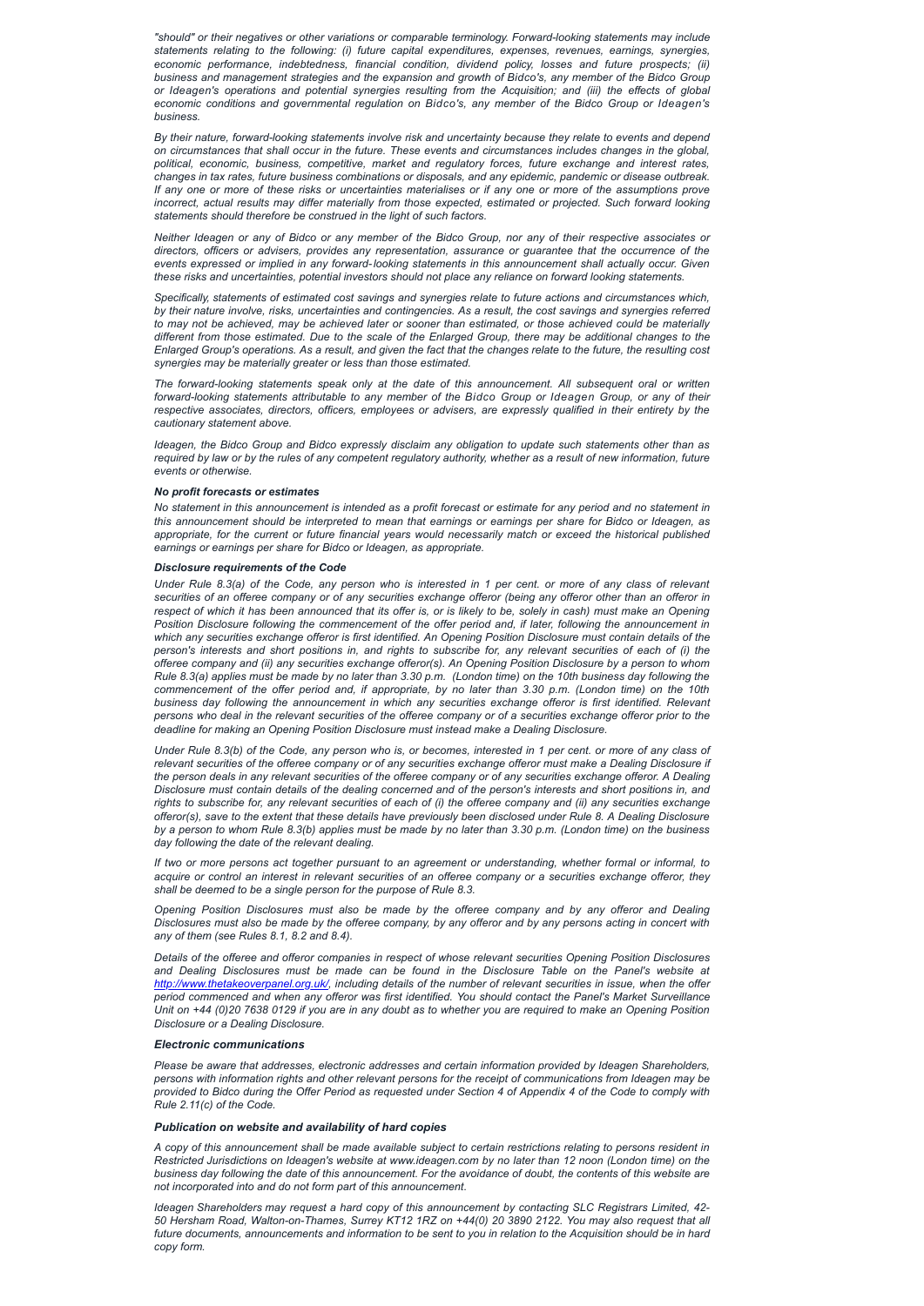*"should" or their negatives or other variations or comparable terminology. Forward-looking statements may include statements relating to the following: (i) future capital expenditures, expenses, revenues, earnings, synergies, economic performance, indebtedness, financial condition, dividend policy, losses and future prospects; (ii) business and management strategies and the expansion and growth of Bidco's, any member of the Bidco Group or Ideagen's operations and potential synergies resulting from the Acquisition; and (iii) the effects of global economic conditions and governmental regulation on Bidco's, any member of the Bidco Group or Ideagen's business.*

By their nature, forward-looking statements involve risk and uncertainty because they relate to events and depend on circumstances that shall occur in the future. These events and circumstances includes changes in the global, *political, economic, business, competitive, market and regulatory forces, future exchange and interest rates, changes in tax rates, future business combinations or disposals, and any epidemic, pandemic or disease outbreak.* If any one or more of these risks or uncertainties materialises or if any one or more of the assumptions prove *incorrect, actual results may differ materially from those expected, estimated or projected. Such forward looking statements should therefore be construed in the light of such factors.*

Neither Ideagen or any of Bidco or any member of the Bidco Group, nor any of their respective associates or *directors, officers or advisers, provides any representation, assurance or guarantee that the occurrence of the events expressed or implied in any forward-looking statements in this announcement shall actually occur. Given these risks and uncertainties, potential investors should not place any reliance on forward looking statements.*

Ideagen, the Bidco Group and Bidco expressly disclaim any obligation to update such statements other than as required by law or by the rules of any competent regulatory authority, whether as a result of new information, future *events or otherwise.*

No statement in this announcement is intended as a profit forecast or estimate for any period and no statement in this announcement should be interpreted to mean that earnings or earnings per share for Bidco or Ideagen, as appropriate, for the current or future financial years would necessarily match or exceed the historical published *earnings or earnings per share for Bidco or Ideagen, as appropriate.*

*Specifically, statements of estimated cost savings and synergies relate to future actions and circumstances which,* by their nature involve, risks, uncertainties and contingencies. As a result, the cost savings and synergies referred to may not be achieved, may be achieved later or sooner than estimated, or those achieved could be materially different from those estimated. Due to the scale of the Enlarged Group, there may be additional changes to the Enlarged Group's operations. As a result, and given the fact that the changes relate to the future, the resulting cost *synergies may be materially greater or less than those estimated.*

Under Rule 8.3(a) of the Code, any person who is interested in 1 per cent, or more of any class of relevant securities of an offeree company or of any securities exchange offeror (being any offeror other than an offeror in respect of which it has been announced that its offer is, or is likely to be, solely in cash) must make an Opening *Position Disclosure following the commencement of the offer period and, if later, following the announcement in* which any securities exchange offeror is first identified. An Opening Position Disclosure must contain details of the person's interests and short positions in, and rights to subscribe for, any relevant securities of each of (i) the offeree company and (ii) any securities exchange offeror(s). An Opening Position Disclosure by a person to whom Rule 8.3(a) applies must be made by no later than 3.30 p.m. (London time) on the 10th business day following the commencement of the offer period and, if appropriate, by no later than 3.30 p.m. (London time) on the 10th *business day following the announcement in which any securities exchange offeror is first identified. Relevant* persons who deal in the relevant securities of the offeree company or of a securities exchange offeror prior to the *deadline for making an Opening Position Disclosure must instead make a Dealing Disclosure.*

*The forward-looking statements speak only at the date of this announcement. All subsequent oral or written* forward-looking statements attributable to any member of the Bidco Group or Ideagen Group, or any of their *respective associates, directors, officers, employees or advisers, are expressly qualified in their entirety by the cautionary statement above.*

Under Rule 8.3(b) of the Code, any person who is, or becomes, interested in 1 per cent. or more of any class of relevant securities of the offeree company or of any securities exchange offeror must make a Dealing Disclosure if the person deals in any relevant securities of the offeree company or of any securities exchange offeror. A Dealing Disclosure must contain details of the dealing concerned and of the person's interests and short positions in, and rights to subscribe for, any relevant securities of each of (i) the offeree company and (ii) any securities exchange offeror(s), save to the extent that these details have previously been disclosed under Rule 8. A Dealing Disclosure by a person to whom Rule 8.3(b) applies must be made by no later than 3.30 p.m. (London time) on the business *day following the date of the relevant dealing.*

If two or more persons act together pursuant to an agreement or understanding, whether formal or informal, to acquire or control an interest in relevant securities of an offeree company or a securities exchange offeror, they *shall be deemed to be a single person for the purpose of Rule 8.3.*

#### *No profit forecasts or estimates*

Details of the offeree and offeror companies in respect of whose relevant securities Opening Position Disclosures and Dealing Disclosures must be made can be found in the Disclosure Table on the Panel's website at *[http://www.thetakeoverpanel.org.uk/,](http://www.thetakeoverpanel.org.uk/) including details of the number of relevant securities in issue, when the offer period commenced and when any offeror was first identified. You should contact the Panel's Market Surveillance* Unit on +44 (0)20 7638 0129 if you are in any doubt as to whether you are required to make an Opening Position *Disclosure or a Dealing Disclosure.*

#### *Disclosure requirements of the Code*

A copy of this announcement shall be made available subject to certain restrictions relating to persons resident in Restricted Jurisdictions on Ideagen's website at www.ideagen.com by no later than 12 noon (London time) on the business day following the date of this announcement. For the avoidance of doubt, the contents of this website are *not incorporated into and do not form part of this announcement*.

*Opening Position Disclosures must also be made by the offeree company and by any offeror and Dealing* Disclosures must also be made by the offeree company, by any offeror and by any persons acting in concert with *any of them (see Rules 8.1, 8.2 and 8.4).*

#### *Electronic communications*

*Please be aware that addresses, electronic addresses and certain information provided by Ideagen Shareholders,* persons with information rights and other relevant persons for the receipt of communications from Ideagen may be provided to Bidco during the Offer Period as requested under Section 4 of Appendix 4 of the Code to comply with *Rule 2.11(c) of the Code.*

# *Publication on website and availability of hard copies*

*Ideagen Shareholders may request a hard copy of this announcement by contacting SLC Registrars Limited, 42-* 50 Hersham Road, Walton-on-Thames, Surrey KT12 1RZ on +44(0) 20 3890 2122. You may also request that all future documents, announcements and information to be sent to you in relation to the Acquisition should be in hard *copy form.*